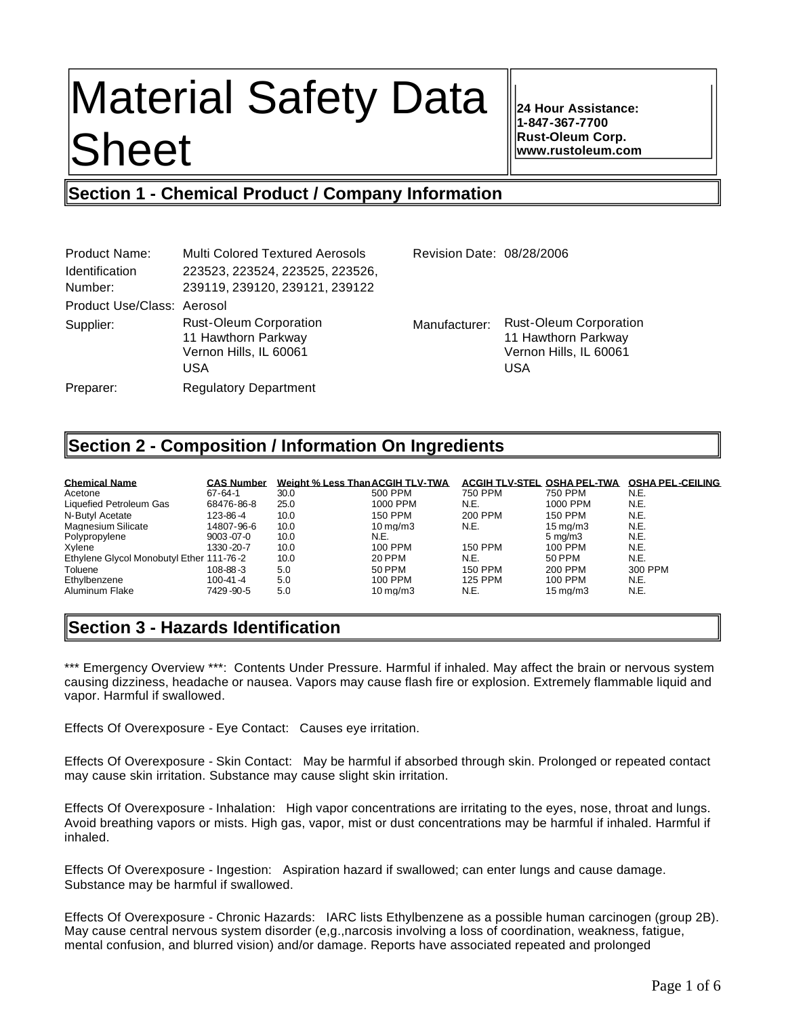# Material Safety Data Sheet

**24 Hour Assistance: 1-847-367-7700 Rust-Oleum Corp. www.rustoleum.com**

# **Section 1 - Chemical Product / Company Information**

| Product Name:              | <b>Multi Colored Textured Aerosols</b>                                                       | Revision Date: 08/28/2006 |                                                                                              |
|----------------------------|----------------------------------------------------------------------------------------------|---------------------------|----------------------------------------------------------------------------------------------|
| <b>Identification</b>      | 223523, 223524, 223525, 223526,                                                              |                           |                                                                                              |
| Number:                    | 239119, 239120, 239121, 239122                                                               |                           |                                                                                              |
| Product Use/Class: Aerosol |                                                                                              |                           |                                                                                              |
| Supplier:                  | <b>Rust-Oleum Corporation</b><br>11 Hawthorn Parkway<br>Vernon Hills, IL 60061<br><b>USA</b> | Manufacturer:             | <b>Rust-Oleum Corporation</b><br>11 Hawthorn Parkway<br>Vernon Hills, IL 60061<br><b>USA</b> |
| Preparer:                  | <b>Regulatory Department</b>                                                                 |                           |                                                                                              |

# **Section 2 - Composition / Information On Ingredients**

| <b>Chemical Name</b>                     | <b>CAS Number</b> | Weight % Less Than ACGIH TLV-TWA |                      | ACGIH TLV-STEL OSHA PEL-TWA |                       | <b>OSHA PEL-CEILING</b> |
|------------------------------------------|-------------------|----------------------------------|----------------------|-----------------------------|-----------------------|-------------------------|
| Acetone                                  | $67 - 64 - 1$     | 30.0                             | 500 PPM              | 750 PPM                     | 750 PPM               | N.E.                    |
| Liquefied Petroleum Gas                  | 68476-86-8        | 25.0                             | 1000 PPM             | N.E.                        | 1000 PPM              | N.E.                    |
| N-Butyl Acetate                          | 123-86-4          | 10.0                             | <b>150 PPM</b>       | 200 PPM                     | 150 PPM               | N.E.                    |
| Magnesium Silicate                       | 14807-96-6        | 10.0                             | $10 \text{ ma/m}$ 3  | N.E.                        | $15 \,\mathrm{ma/m3}$ | N.E.                    |
| Polypropylene                            | $9003 - 07 - 0$   | 10.0                             | N.E.                 |                             | $5 \text{ ma/m}$ 3    | N.E.                    |
| Xvlene                                   | 1330-20-7         | 10.0                             | 100 PPM              | <b>150 PPM</b>              | 100 PPM               | N.E.                    |
| Ethylene Glycol Monobutyl Ether 111-76-2 |                   | 10.0                             | 20 PPM               | N.E.                        | 50 PPM                | N.E.                    |
| Toluene                                  | 108-88-3          | 5.0                              | 50 PPM               | <b>150 PPM</b>              | 200 PPM               | 300 PPM                 |
| Ethylbenzene                             | $100 - 41 - 4$    | 5.0                              | 100 PPM              | <b>125 PPM</b>              | 100 PPM               | N.E.                    |
| Aluminum Flake                           | 7429 -90-5        | 5.0                              | $10 \,\mathrm{ma/m}$ | N.E.                        | $15 \,\mathrm{ma/m3}$ | N.E.                    |

# **Section 3 - Hazards Identification**

\*\*\* Emergency Overview \*\*\*: Contents Under Pressure. Harmful if inhaled. May affect the brain or nervous system causing dizziness, headache or nausea. Vapors may cause flash fire or explosion. Extremely flammable liquid and vapor. Harmful if swallowed.

Effects Of Overexposure - Eye Contact: Causes eye irritation.

Effects Of Overexposure - Skin Contact: May be harmful if absorbed through skin. Prolonged or repeated contact may cause skin irritation. Substance may cause slight skin irritation.

Effects Of Overexposure - Inhalation: High vapor concentrations are irritating to the eyes, nose, throat and lungs. Avoid breathing vapors or mists. High gas, vapor, mist or dust concentrations may be harmful if inhaled. Harmful if inhaled.

Effects Of Overexposure - Ingestion: Aspiration hazard if swallowed; can enter lungs and cause damage. Substance may be harmful if swallowed.

Effects Of Overexposure - Chronic Hazards: IARC lists Ethylbenzene as a possible human carcinogen (group 2B). May cause central nervous system disorder (e,g.,narcosis involving a loss of coordination, weakness, fatigue, mental confusion, and blurred vision) and/or damage. Reports have associated repeated and prolonged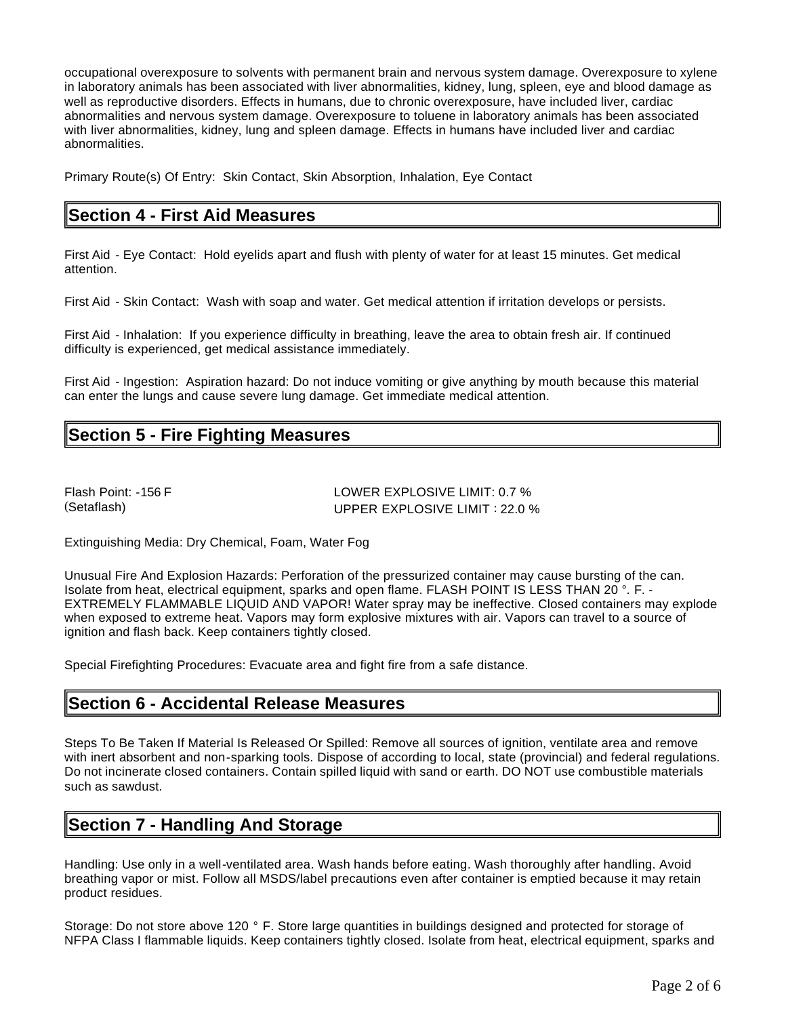occupational overexposure to solvents with permanent brain and nervous system damage. Overexposure to xylene in laboratory animals has been associated with liver abnormalities, kidney, lung, spleen, eye and blood damage as well as reproductive disorders. Effects in humans, due to chronic overexposure, have included liver, cardiac abnormalities and nervous system damage. Overexposure to toluene in laboratory animals has been associated with liver abnormalities, kidney, lung and spleen damage. Effects in humans have included liver and cardiac abnormalities.

Primary Route(s) Of Entry: Skin Contact, Skin Absorption, Inhalation, Eye Contact

## **Section 4 - First Aid Measures**

First Aid - Eye Contact: Hold eyelids apart and flush with plenty of water for at least 15 minutes. Get medical attention.

First Aid - Skin Contact: Wash with soap and water. Get medical attention if irritation develops or persists.

First Aid - Inhalation: If you experience difficulty in breathing, leave the area to obtain fresh air. If continued difficulty is experienced, get medical assistance immediately.

First Aid - Ingestion: Aspiration hazard: Do not induce vomiting or give anything by mouth because this material can enter the lungs and cause severe lung damage. Get immediate medical attention.

# **Section 5 - Fire Fighting Measures**

Flash Point: -156 F LOWER EXPLOSIVE LIMIT: 0.7 % (Setaflash) UPPER EXPLOSIVE LIMIT : 22.0 %

Extinguishing Media: Dry Chemical, Foam, Water Fog

Unusual Fire And Explosion Hazards: Perforation of the pressurized container may cause bursting of the can. Isolate from heat, electrical equipment, sparks and open flame. FLASH POINT IS LESS THAN 20 $\degree$ . F. -EXTREMELY FLAMMABLE LIQUID AND VAPOR! Water spray may be ineffective. Closed containers may explode when exposed to extreme heat. Vapors may form explosive mixtures with air. Vapors can travel to a source of ignition and flash back. Keep containers tightly closed.

Special Firefighting Procedures: Evacuate area and fight fire from a safe distance.

## **Section 6 - Accidental Release Measures**

Steps To Be Taken If Material Is Released Or Spilled: Remove all sources of ignition, ventilate area and remove with inert absorbent and non-sparking tools. Dispose of according to local, state (provincial) and federal regulations. Do not incinerate closed containers. Contain spilled liquid with sand or earth. DO NOT use combustible materials such as sawdust.

# **Section 7 - Handling And Storage**

Handling: Use only in a well-ventilated area. Wash hands before eating. Wash thoroughly after handling. Avoid breathing vapor or mist. Follow all MSDS/label precautions even after container is emptied because it may retain product residues.

Storage: Do not store above 120 ° F. Store large quantities in buildings designed and protected for storage of NFPA Class I flammable liquids. Keep containers tightly closed. Isolate from heat, electrical equipment, sparks and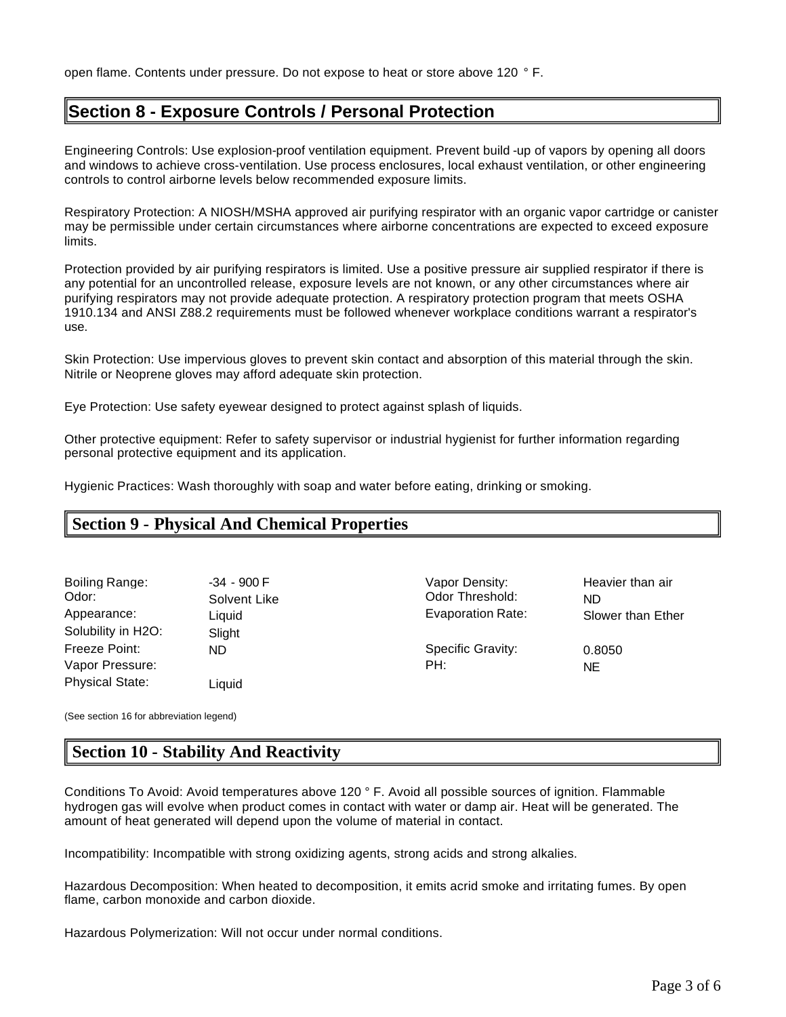# **Section 8 - Exposure Controls / Personal Protection**

Engineering Controls: Use explosion-proof ventilation equipment. Prevent build -up of vapors by opening all doors and windows to achieve cross-ventilation. Use process enclosures, local exhaust ventilation, or other engineering controls to control airborne levels below recommended exposure limits.

Respiratory Protection: A NIOSH/MSHA approved air purifying respirator with an organic vapor cartridge or canister may be permissible under certain circumstances where airborne concentrations are expected to exceed exposure limits.

Protection provided by air purifying respirators is limited. Use a positive pressure air supplied respirator if there is any potential for an uncontrolled release, exposure levels are not known, or any other circumstances where air purifying respirators may not provide adequate protection. A respiratory protection program that meets OSHA 1910.134 and ANSI Z88.2 requirements must be followed whenever workplace conditions warrant a respirator's use.

Skin Protection: Use impervious gloves to prevent skin contact and absorption of this material through the skin. Nitrile or Neoprene gloves may afford adequate skin protection.

Eye Protection: Use safety eyewear designed to protect against splash of liquids.

Other protective equipment: Refer to safety supervisor or industrial hygienist for further information regarding personal protective equipment and its application.

Hygienic Practices: Wash thoroughly with soap and water before eating, drinking or smoking.

# **Section 9 - Physical And Chemical Properties**

| Boiling Range:         | $-34 - 900$ F | Vapor Density:           | Heavier than air  |
|------------------------|---------------|--------------------------|-------------------|
| Odor:                  | Solvent Like  | Odor Threshold:          | ND                |
| Appearance:            | Liquid        | <b>Evaporation Rate:</b> | Slower than Ether |
| Solubility in H2O:     | Slight        |                          |                   |
| Freeze Point:          | <b>ND</b>     | Specific Gravity:        | 0.8050            |
| Vapor Pressure:        |               | PH:                      | NE.               |
| <b>Physical State:</b> | Liquid        |                          |                   |

(See section 16 for abbreviation legend)

# **Section 10 - Stability And Reactivity**

Conditions To Avoid: Avoid temperatures above 120 ° F. Avoid all possible sources of ignition. Flammable hydrogen gas will evolve when product comes in contact with water or damp air. Heat will be generated. The amount of heat generated will depend upon the volume of material in contact.

Incompatibility: Incompatible with strong oxidizing agents, strong acids and strong alkalies.

Hazardous Decomposition: When heated to decomposition, it emits acrid smoke and irritating fumes. By open flame, carbon monoxide and carbon dioxide.

Hazardous Polymerization: Will not occur under normal conditions.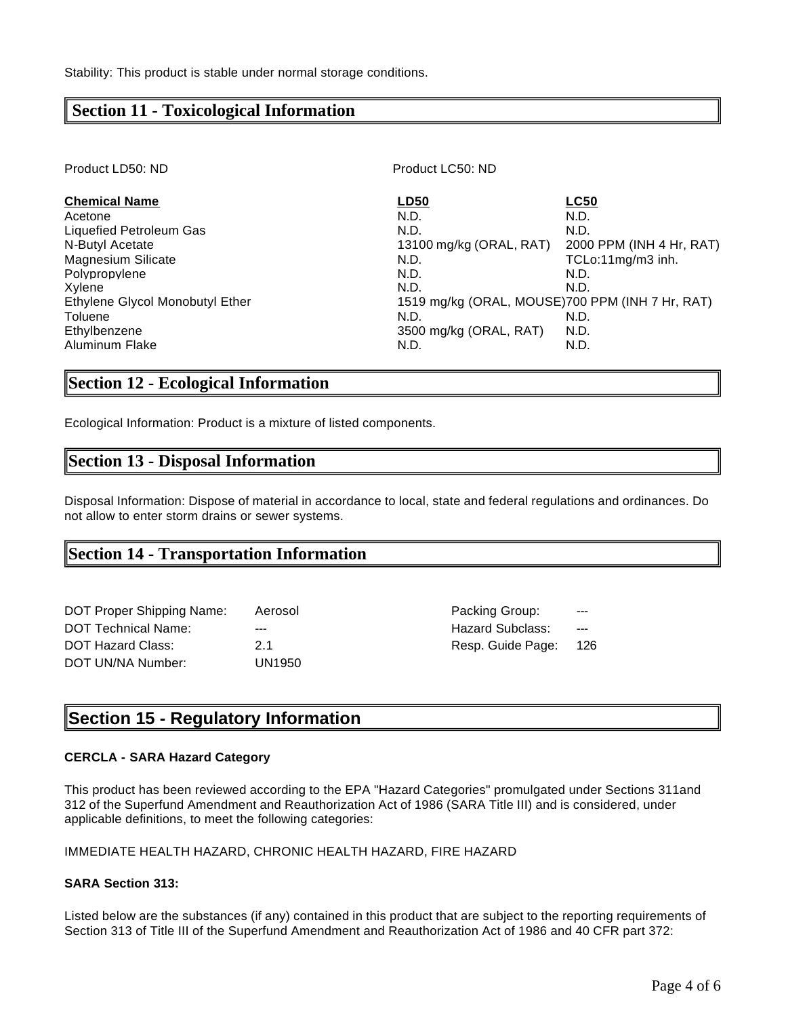## **Section 11 - Toxicological Information**

Product LD50: ND Product LC50: ND

| <b>Chemical Name</b>            | <b>LD50</b>                                     | <b>LC50</b>              |
|---------------------------------|-------------------------------------------------|--------------------------|
| Acetone                         | N.D.                                            | N.D.                     |
| <b>Liquefied Petroleum Gas</b>  | N.D.                                            | N.D.                     |
| N-Butyl Acetate                 | 13100 mg/kg (ORAL, RAT)                         | 2000 PPM (INH 4 Hr, RAT) |
| <b>Magnesium Silicate</b>       | N.D.                                            | TCLo:11mg/m3 inh.        |
| Polypropylene                   | N.D.                                            | N.D.                     |
| Xvlene                          | N.D.                                            | N.D.                     |
| Ethylene Glycol Monobutyl Ether | 1519 mg/kg (ORAL, MOUSE)700 PPM (INH 7 Hr, RAT) |                          |
| Toluene                         | N.D.                                            | N.D.                     |
| Ethylbenzene                    | 3500 mg/kg (ORAL, RAT)                          | N.D.                     |
| <b>Aluminum Flake</b>           | N.D.                                            | N.D.                     |

## **Section 12 - Ecological Information**

Ecological Information: Product is a mixture of listed components.

## **Section 13 - Disposal Information**

Disposal Information: Dispose of material in accordance to local, state and federal regulations and ordinances. Do not allow to enter storm drains or sewer systems.

## **Section 14 - Transportation Information**

| DOT Proper Shipping Name:  | Aerosol |
|----------------------------|---------|
| <b>DOT Technical Name:</b> |         |
| <b>DOT Hazard Class:</b>   | 21      |
| DOT UN/NA Number:          | UN1950  |

Packing Group: Hazard Subclass: ---Resp. Guide Page: 126

# **Section 15 - Regulatory Information**

#### **CERCLA - SARA Hazard Category**

This product has been reviewed according to the EPA "Hazard Categories" promulgated under Sections 311and 312 of the Superfund Amendment and Reauthorization Act of 1986 (SARA Title III) and is considered, under applicable definitions, to meet the following categories:

#### IMMEDIATE HEALTH HAZARD, CHRONIC HEALTH HAZARD, FIRE HAZARD

## **SARA Section 313:**

Listed below are the substances (if any) contained in this product that are subject to the reporting requirements of Section 313 of Title III of the Superfund Amendment and Reauthorization Act of 1986 and 40 CFR part 372: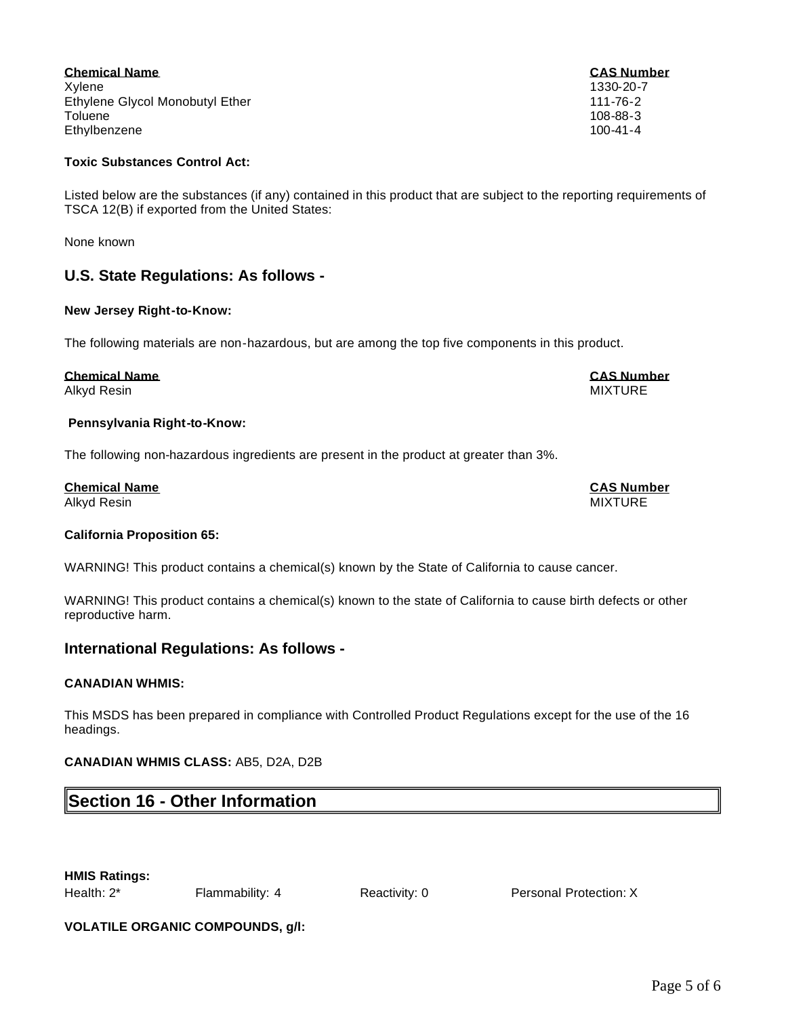Page 5 of 6

#### **Chemical Name CAS Number** Xylene 1330-20-7 Ethylene Glycol Monobutyl Ether 111-76-2 Toluene 108-88-3 Ethylbenzene 100-41-4

## **Toxic Substances Control Act:**

Listed below are the substances (if any) contained in this product that are subject to the reporting requirements of TSCA 12(B) if exported from the United States:

None known

## **U.S. State Regulations: As follows -**

## **New Jersey Right-to-Know:**

The following materials are non-hazardous, but are among the top five components in this product.

## **Chemical Name CAS Number**

Alkyd Resin MIXTURE

#### **Pennsylvania Right-to-Know:**

The following non-hazardous ingredients are present in the product at greater than 3%.

**Chemical Name CAS Number** Alkyd Resin MIXTURE

#### **California Proposition 65:**

WARNING! This product contains a chemical(s) known by the State of California to cause cancer.

WARNING! This product contains a chemical(s) known to the state of California to cause birth defects or other reproductive harm.

## **International Regulations: As follows -**

#### **CANADIAN WHMIS:**

This MSDS has been prepared in compliance with Controlled Product Regulations except for the use of the 16 headings.

#### **CANADIAN WHMIS CLASS:** AB5, D2A, D2B

# **Section 16 - Other Information**

**HMIS Ratings:**

Health: 2\* Flammability: 4 Reactivity: 0 Personal Protection: X